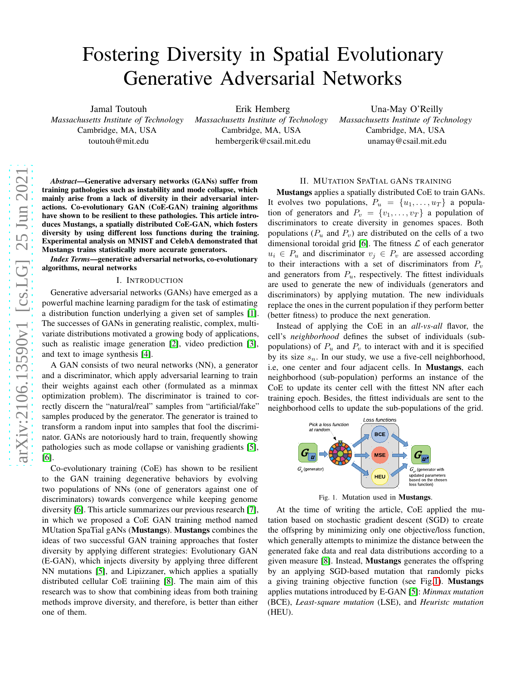# Fostering Diversity in Spatial Evolutionary Generative Adversarial Networks

Jamal Toutouh *Massachusetts Institute of Technology* Cambridge, MA, USA toutouh@mit.edu

Erik Hemberg *Massachusetts Institute of Technology* Cambridge, MA, USA hembergerik@csail.mit.edu

Una-May O'Reilly *Massachusetts Institute of Technology* Cambridge, MA, USA unamay@csail.mit.edu

*Abstract*—Generative adversary networks (GANs) suffer from training pathologies such as instability and mode collapse, which mainly arise from a lack of diversity in their adversarial interactions. Co-evolutionary GAN (CoE-GAN) training algorithms have shown to be resilient to these pathologies. This article introduces Mustangs, a spatially distributed CoE-GAN, which fosters diversity by using different loss functions during the training. Experimental analysis on MNIST and CelebA demonstrated that Mustangs trains statistically more accurate generators.

*Index Terms*—generative adversarial networks, co-evolutionary algorithms, neural networks

#### I. INTRODUCTION

Generative adversarial networks (GANs) have emerged as a powerful machine learning paradigm for the task of estimating a distribution function underlying a given set of samples [\[1\]](#page-1-0). The successes of GANs in generating realistic, complex, multivariate distributions motivated a growing body of applications, such as realistic image generation [\[2\]](#page-1-1), video prediction [\[3\]](#page-1-2), and text to image synthesis [\[4\]](#page-1-3).

A GAN consists of two neural networks (NN), a generator and a discriminator, which apply adversarial learning to train their weights against each other (formulated as a minmax optimization problem). The discriminator is trained to correctly discern the "natural/real" samples from "artificial/fake" samples produced by the generator. The generator is trained to transform a random input into samples that fool the discriminator. GANs are notoriously hard to train, frequently showing pathologies such as mode collapse or vanishing gradients [\[5\]](#page-1-4), [\[6\]](#page-1-5).

Co-evolutionary training (CoE) has shown to be resilient to the GAN training degenerative behaviors by evolving two populations of NNs (one of generators against one of discriminators) towards convergence while keeping genome diversity [\[6\]](#page-1-5). This article summarizes our previous research [\[7\]](#page-1-6), in which we proposed a CoE GAN training method named MUtation SpaTial gANs (Mustangs). Mustangs combines the ideas of two successful GAN training approaches that foster diversity by applying different strategies: Evolutionary GAN (E-GAN), which injects diversity by applying three different NN mutations [\[5\]](#page-1-4), and Lipizzaner, which applies a spatially distributed cellular CoE traiining [\[8\]](#page-1-7). The main aim of this research was to show that combining ideas from both training methods improve diversity, and therefore, is better than either one of them.

## II. MUTATION SPATIAL GANS TRAINING

Mustangs applies a spatially distributed CoE to train GANs. It evolves two populations,  $P_u = \{u_1, \ldots, u_T\}$  a population of generators and  $P_v = \{v_1, \ldots, v_T\}$  a population of discriminators to create diversity in genomes spaces. Both populations ( $P_u$  and  $P_v$ ) are distributed on the cells of a two dimensional toroidal grid [\[6\]](#page-1-5). The fitness  $\mathcal L$  of each generator  $u_i \in P_u$  and discriminator  $v_j \in P_v$  are assessed according to their interactions with a set of discriminators from  $P_v$ and generators from  $P_u$ , respectively. The fittest individuals are used to generate the new of individuals (generators and discriminators) by applying mutation. The new individuals replace the ones in the current population if they perform better (better fitness) to produce the next generation.

Instead of applying the CoE in an *all-vs-all* flavor, the cell's *neighborhood* defines the subset of individuals (subpopulations) of  $P_u$  and  $P_v$  to interact with and it is specified by its size  $s_n$ . In our study, we use a five-cell neighborhood, i.e, one center and four adjacent cells. In Mustangs, each neighborhood (sub-population) performs an instance of the CoE to update its center cell with the fittest NN after each training epoch. Besides, the fittest individuals are sent to the neighborhood cells to update the sub-populations of the grid.



<span id="page-0-0"></span>Fig. 1. Mutation used in Mustangs.

At the time of writing the article, CoE applied the mutation based on stochastic gradient descent (SGD) to create the offspring by minimizing only one objective/loss function, which generally attempts to minimize the distance between the generated fake data and real data distributions according to a given measure [\[8\]](#page-1-7). Instead, Mustangs generates the offspring by an applying SGD-based mutation that randomly picks a giving training objective function (see Fig[.1\)](#page-0-0). Mustangs applies mutations introduced by E-GAN [\[5\]](#page-1-4): *Minmax mutation* (BCE), *Least-square mutation* (LSE), and *Heuristc mutation* (HEU).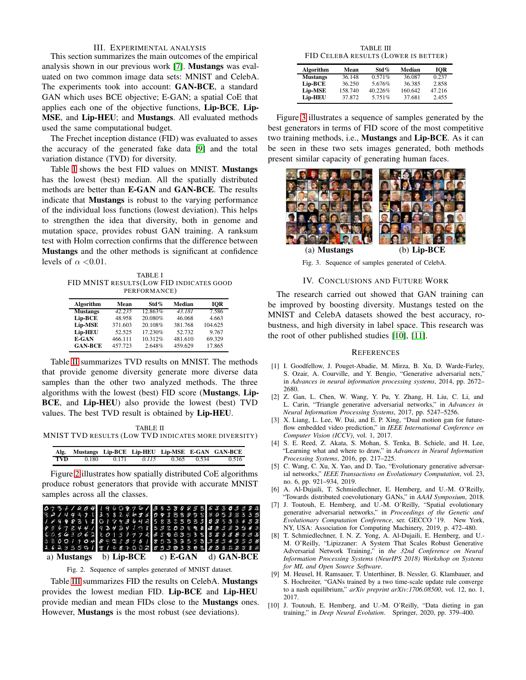#### III. EXPERIMENTAL ANALYSIS

This section summarizes the main outcomes of the empirical analysis shown in our previous work [\[7\]](#page-1-6). Mustangs was evaluated on two common image data sets: MNIST and CelebA. The experiments took into account: GAN-BCE, a standard GAN which uses BCE objective; E-GAN; a spatial CoE that applies each one of the objective functions, Lip-BCE, Lip-MSE, and Lip-HEU; and Mustangs. All evaluated methods used the same computational budget.

The Frechet inception distance (FID) was evaluated to asses the accuracy of the generated fake data [\[9\]](#page-1-8) and the total variation distance (TVD) for diversity.

Table [I](#page-1-9) shows the best FID values on MNIST. Mustangs has the lowest (best) median. All the spatially distributed methods are better than E-GAN and GAN-BCE. The results indicate that Mustangs is robust to the varying performance of the individual loss functions (lowest deviation). This helps to strengthen the idea that diversity, both in genome and mutation space, provides robust GAN training. A ranksum test with Holm correction confirms that the difference between Mustangs and the other methods is significant at confidence levels of  $\alpha$  <0.01.

<span id="page-1-9"></span>TABLE I FID MNIST RESULTS(LOW FID INDICATES GOOD PERFORMANCE)

| Algorithm       | Mean    | Std $%$ | Median  | IOR     |
|-----------------|---------|---------|---------|---------|
| <b>Mustangs</b> | 42.235  | 12.863% | 43.181  | 7.586   |
| Lip-BCE         | 48.958  | 20.080% | 46.068  | 4.663   |
| <b>Lip-MSE</b>  | 371.603 | 20.108% | 381.768 | 104.625 |
| Lip-HEU         | 52.525  | 17.230% | 52.732  | 9.767   |
| E-GAN           | 466.111 | 10.312% | 481.610 | 69.329  |
| <b>GAN-BCE</b>  | 457.723 | 2.648%  | 459.629 | 17.865  |

Table [II](#page-1-10) summarizes TVD results on MNIST. The methods that provide genome diversity generate more diverse data samples than the other two analyzed methods. The three algorithms with the lowest (best) FID score (Mustangs, Lip-BCE, and Lip-HEU) also provide the lowest (best) TVD values. The best TVD result is obtained by Lip-HEU.

<span id="page-1-10"></span>TABLE II MNIST TVD RESULTS (LOW TVD INDICATES MORE DIVERSITY)

|     |             |       |             | Alg. Mustangs Lip-BCE Lip-HEU Lip-MSE E-GAN GAN-BCE |
|-----|-------------|-------|-------------|-----------------------------------------------------|
| TVD | 0.180 0.171 | 0.115 | 0.365 0.534 | 0.516                                               |

Figure [2](#page-1-11) illustrates how spatially distributed CoE algorithms produce robust generators that provide with accurate MNIST samples across all the classes.

| 0731180419609761383388556333333                                   |            |            |
|-------------------------------------------------------------------|------------|------------|
| 32149371358246360938889539533335                                  |            |            |
| 18498318017436425832593323533383                                  |            |            |
| 936784419243489853800898433333583                                 |            |            |
| E 0 5 6 3 0 6 2 2 0 1 3 1 7 7 2 F 5 8 8 3 3 3 8 8 8 8 8 8 5 5 5 5 |            |            |
| 3800 1 9 0 4 8 9 2 8 9 7 5 1 8 5 3 3 3 5 5 3 3 3 3 4 3 5 5 8      |            |            |
| 262355918168700285303355283828358                                 |            |            |
| a) Mustangs b) $Lip-BCE$                                          | c) $E-GAN$ | d) GAN-BCE |

<span id="page-1-11"></span>Fig. 2. Sequence of samples generated of MNIST dataset.

Table [III](#page-1-12) summarizes FID the results on CelebA. Mustangs provides the lowest median FID. Lip-BCE and Lip-HEU provide median and mean FIDs close to the Mustangs ones. However, Mustangs is the most robust (see deviations).

TABLE III FID CELEBA RESULTS (LOWER IS BETTER)

<span id="page-1-12"></span>

| Algorithm       | Mean    | Std $%$ | Median  | IOR    |
|-----------------|---------|---------|---------|--------|
| <b>Mustangs</b> | 36.148  | 0.571%  | 36.087  | 0.237  |
| Lip-BCE         | 36.250  | 5.676%  | 36.385  | 2.858  |
| <b>Lip-MSE</b>  | 158.740 | 40.226% | 160.642 | 47.216 |
| <b>Lip-HEU</b>  | 37.872  | 5.751%  | 37.681  | 2.455  |

Figure [3](#page-1-13) illustrates a sequence of samples generated by the best generators in terms of FID score of the most competitive two training methods, i.e., Mustangs and Lip-BCE. As it can be seen in these two sets images generated, both methods present similar capacity of generating human faces.



Fig. 3. Sequence of samples generated of CelebA.

### <span id="page-1-13"></span>IV. CONCLUSIONS AND FUTURE WORK

The research carried out showed that GAN training can be improved by boosting diversity. Mustangs tested on the MNIST and CelebA datasets showed the best accuracy, robustness, and high diversity in label space. This research was the root of other published studies [\[10\]](#page-1-14), [\[11\]](#page-2-0).

#### **REFERENCES**

- <span id="page-1-0"></span>[1] I. Goodfellow, J. Pouget-Abadie, M. Mirza, B. Xu, D. Warde-Farley, S. Ozair, A. Courville, and Y. Bengio, "Generative adversarial nets," in *Advances in neural information processing systems*, 2014, pp. 2672– 2680.
- <span id="page-1-1"></span>[2] Z. Gan, L. Chen, W. Wang, Y. Pu, Y. Zhang, H. Liu, C. Li, and L. Carin, "Triangle generative adversarial networks," in *Advances in Neural Information Processing Systems*, 2017, pp. 5247–5256.
- <span id="page-1-2"></span>[3] X. Liang, L. Lee, W. Dai, and E. P. Xing, "Dual motion gan for futureflow embedded video prediction," in *IEEE International Conference on Computer Vision (ICCV)*, vol. 1, 2017.
- <span id="page-1-3"></span>[4] S. E. Reed, Z. Akata, S. Mohan, S. Tenka, B. Schiele, and H. Lee, "Learning what and where to draw," in *Advances in Neural Information Processing Systems*, 2016, pp. 217–225.
- <span id="page-1-4"></span>[5] C. Wang, C. Xu, X. Yao, and D. Tao, "Evolutionary generative adversarial networks," *IEEE Transactions on Evolutionary Computation*, vol. 23, no. 6, pp. 921–934, 2019.
- <span id="page-1-5"></span>[6] A. Al-Dujaili, T. Schmiedlechner, E. Hemberg, and U.-M. O'Reilly, "Towards distributed coevolutionary GANs," in *AAAI Symposium*, 2018.
- <span id="page-1-6"></span>[7] J. Toutouh, E. Hemberg, and U.-M. O'Reilly, "Spatial evolutionary generative adversarial networks," in *Proceedings of the Genetic and Evolutionary Computation Conference*, ser. GECCO '19. New York, NY, USA: Association for Computing Machinery, 2019, p. 472–480.
- <span id="page-1-7"></span>[8] T. Schmiedlechner, I. N. Z. Yong, A. Al-Dujaili, E. Hemberg, and U.- M. O'Reilly, "Lipizzaner: A System That Scales Robust Generative Adversarial Network Training," in *the 32nd Conference on Neural Information Processing Systems (NeurIPS 2018) Workshop on Systems for ML and Open Source Software*.
- <span id="page-1-8"></span>[9] M. Heusel, H. Ramsauer, T. Unterthiner, B. Nessler, G. Klambauer, and S. Hochreiter, "GANs trained by a two time-scale update rule converge to a nash equilibrium," *arXiv preprint arXiv:1706.08500*, vol. 12, no. 1, 2017.
- <span id="page-1-14"></span>[10] J. Toutouh, E. Hemberg, and U.-M. O'Reilly, "Data dieting in gan training," in *Deep Neural Evolution*. Springer, 2020, pp. 379–400.